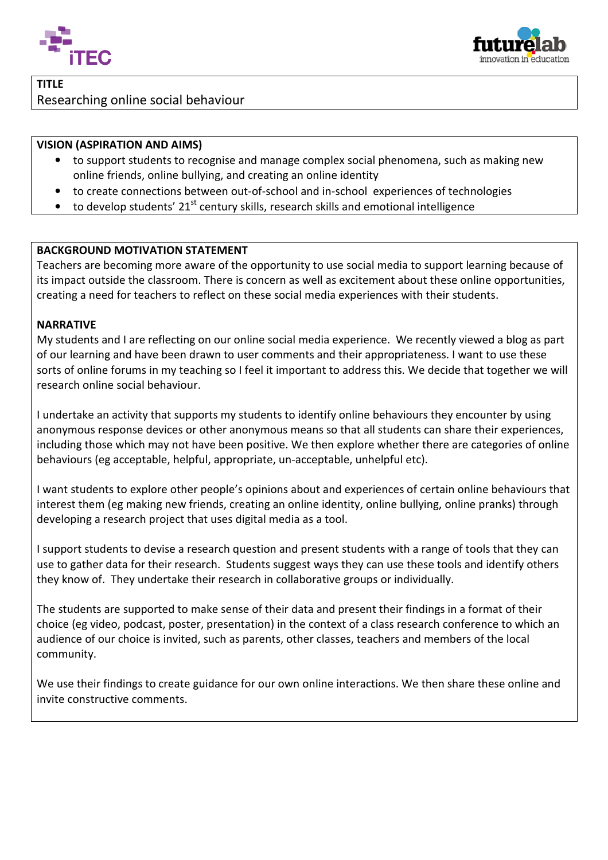



## TITLE Researching online social behaviour

## VISION (ASPIRATION AND AIMS)

- to support students to recognise and manage complex social phenomena, such as making new online friends, online bullying, and creating an online identity
- to create connections between out-of-school and in-school experiences of technologies
- to develop students' 21<sup>st</sup> century skills, research skills and emotional intelligence

## BACKGROUND MOTIVATION STATEMENT

Teachers are becoming more aware of the opportunity to use social media to support learning because of its impact outside the classroom. There is concern as well as excitement about these online opportunities creating a need for teachers to reflect on these social media experiences with their students. school experiences of technologies<br>
s and emotional intelligence<br>
se social media to support learning because of<br>
excitement about these online opportunities,

## **NARRATIVE**

My students and I are reflecting on our online social media experience. We recently viewed a blog as part of our learning and have been drawn to user comments and their appropriateness. I want to use these sorts of online forums in my teaching so I feel it important to address this. We decide that together we will<br>research online social behaviour.<br>I undertake an activity that supports my students to identify online behaviour research online social behaviour.

I undertake an activity that supports my students to identify online behaviours they encounter by anonymous response devices or other anonymous means so that all students can share their experiences, including those which may not have been positive. We then explore whether there are categories of online behaviours (eg acceptable, helpful, appropriate, un-acceptable, unhelpful etc).

I want students to explore other people's opinions about and experiences of certain online behaviours that interest them (eg making new friends, creating an online identity, online bullying, online pranks) through developing a research project that uses digital media as a tool.

I support students to devise a research question and present students with a range of tools that they can developing a research project that uses digital media as a tool.<br>I support students to devise a research question and present students with a range of tools that they can<br>use to gather data for their research. Students sug

they know of. They undertake their research in collaborative groups or individually.<br>The students are supported to make sense of their data and present their findings ir<br>choice (eg video, podcast, poster, presentation) in The students are supported to make sense of their data and present their findings in a format of their The students are supported to make sense of their data and present their findings in a format of their<br>choice (eg video, podcast, poster, presentation) in the context of a class research conference to which an audience of our choice is invited, such as parents, other classes, teachers and members of the local community.

We use their findings to create guidance for our own online interactions. We then share these online and invite constructive comments.